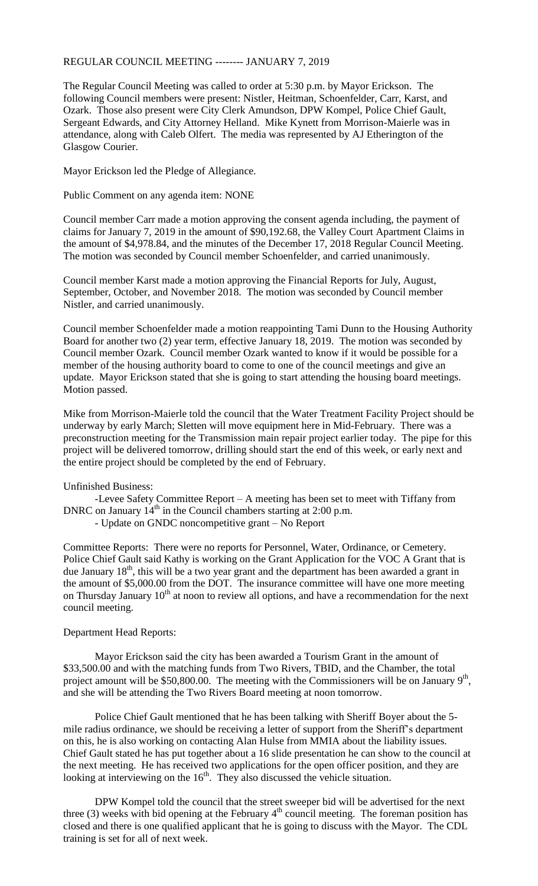## REGULAR COUNCIL MEETING -------- JANUARY 7, 2019

The Regular Council Meeting was called to order at 5:30 p.m. by Mayor Erickson. The following Council members were present: Nistler, Heitman, Schoenfelder, Carr, Karst, and Ozark. Those also present were City Clerk Amundson, DPW Kompel, Police Chief Gault, Sergeant Edwards, and City Attorney Helland. Mike Kynett from Morrison-Maierle was in attendance, along with Caleb Olfert. The media was represented by AJ Etherington of the Glasgow Courier.

Mayor Erickson led the Pledge of Allegiance.

Public Comment on any agenda item: NONE

Council member Carr made a motion approving the consent agenda including, the payment of claims for January 7, 2019 in the amount of \$90,192.68, the Valley Court Apartment Claims in the amount of \$4,978.84, and the minutes of the December 17, 2018 Regular Council Meeting. The motion was seconded by Council member Schoenfelder, and carried unanimously.

Council member Karst made a motion approving the Financial Reports for July, August, September, October, and November 2018. The motion was seconded by Council member Nistler, and carried unanimously.

Council member Schoenfelder made a motion reappointing Tami Dunn to the Housing Authority Board for another two (2) year term, effective January 18, 2019. The motion was seconded by Council member Ozark. Council member Ozark wanted to know if it would be possible for a member of the housing authority board to come to one of the council meetings and give an update. Mayor Erickson stated that she is going to start attending the housing board meetings. Motion passed.

Mike from Morrison-Maierle told the council that the Water Treatment Facility Project should be underway by early March; Sletten will move equipment here in Mid-February. There was a preconstruction meeting for the Transmission main repair project earlier today. The pipe for this project will be delivered tomorrow, drilling should start the end of this week, or early next and the entire project should be completed by the end of February.

## Unfinished Business:

-Levee Safety Committee Report – A meeting has been set to meet with Tiffany from DNRC on January  $14<sup>th</sup>$  in the Council chambers starting at 2:00 p.m.

- Update on GNDC noncompetitive grant – No Report

Committee Reports: There were no reports for Personnel, Water, Ordinance, or Cemetery. Police Chief Gault said Kathy is working on the Grant Application for the VOC A Grant that is due January  $18<sup>th</sup>$ , this will be a two year grant and the department has been awarded a grant in the amount of \$5,000.00 from the DOT. The insurance committee will have one more meeting on Thursday January  $10^{th}$  at noon to review all options, and have a recommendation for the next council meeting.

## Department Head Reports:

Mayor Erickson said the city has been awarded a Tourism Grant in the amount of \$33,500.00 and with the matching funds from Two Rivers, TBID, and the Chamber, the total project amount will be \$50,800.00. The meeting with the Commissioners will be on January  $9<sup>th</sup>$ , and she will be attending the Two Rivers Board meeting at noon tomorrow.

Police Chief Gault mentioned that he has been talking with Sheriff Boyer about the 5 mile radius ordinance, we should be receiving a letter of support from the Sheriff's department on this, he is also working on contacting Alan Hulse from MMIA about the liability issues. Chief Gault stated he has put together about a 16 slide presentation he can show to the council at the next meeting. He has received two applications for the open officer position, and they are looking at interviewing on the 16<sup>th</sup>. They also discussed the vehicle situation.

DPW Kompel told the council that the street sweeper bid will be advertised for the next three (3) weeks with bid opening at the February  $4<sup>th</sup>$  council meeting. The foreman position has closed and there is one qualified applicant that he is going to discuss with the Mayor. The CDL training is set for all of next week.